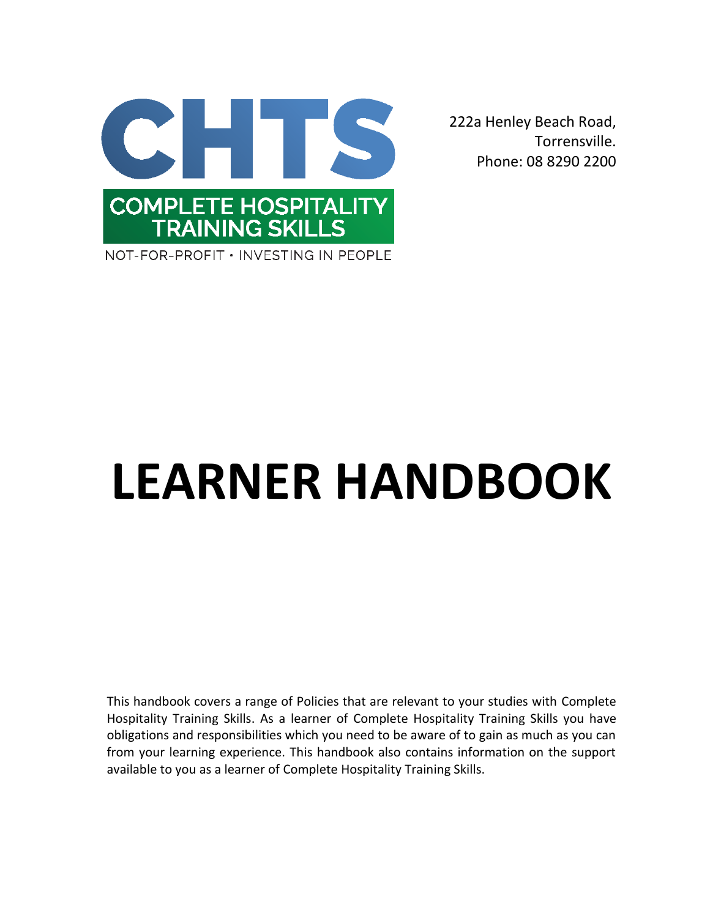

222a Henley Beach Road, Torrensville. Phone: 08 8290 2200

# **LEARNER HANDBOOK**

This handbook covers a range of Policies that are relevant to your studies with Complete Hospitality Training Skills. As a learner of Complete Hospitality Training Skills you have obligations and responsibilities which you need to be aware of to gain as much as you can from your learning experience. This handbook also contains information on the support available to you as a learner of Complete Hospitality Training Skills.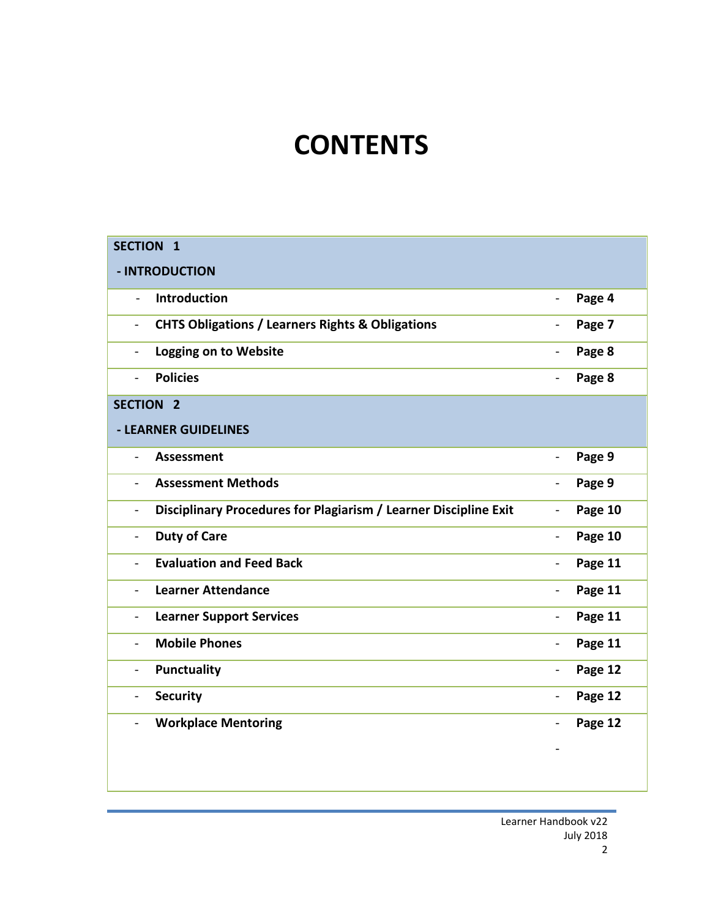# **CONTENTS**

| <b>SECTION 1</b>                                                                   |                              |         |
|------------------------------------------------------------------------------------|------------------------------|---------|
| - INTRODUCTION                                                                     |                              |         |
| <b>Introduction</b><br>$\overline{a}$                                              | $\overline{\phantom{0}}$     | Page 4  |
| <b>CHTS Obligations / Learners Rights &amp; Obligations</b><br>$\blacksquare$      | $\overline{\phantom{0}}$     | Page 7  |
| <b>Logging on to Website</b><br>$\blacksquare$                                     | $\overline{\phantom{a}}$     | Page 8  |
| <b>Policies</b><br>$\overline{a}$                                                  | $\overline{\phantom{0}}$     | Page 8  |
| <b>SECTION 2</b>                                                                   |                              |         |
| - LEARNER GUIDELINES                                                               |                              |         |
| <b>Assessment</b><br>$\blacksquare$                                                | $\overline{\phantom{a}}$     | Page 9  |
| <b>Assessment Methods</b><br>$\blacksquare$                                        | $\blacksquare$               | Page 9  |
| Disciplinary Procedures for Plagiarism / Learner Discipline Exit<br>$\blacksquare$ | $\qquad \qquad \blacksquare$ | Page 10 |
| <b>Duty of Care</b><br>$\overline{\phantom{0}}$                                    | $\overline{\phantom{0}}$     | Page 10 |
| <b>Evaluation and Feed Back</b><br>$\blacksquare$                                  | $\blacksquare$               | Page 11 |
| <b>Learner Attendance</b><br>$\blacksquare$                                        | $\overline{\phantom{0}}$     | Page 11 |
| <b>Learner Support Services</b><br>$\blacksquare$                                  | $\overline{\phantom{a}}$     | Page 11 |
| <b>Mobile Phones</b><br>$\blacksquare$                                             | $\overline{\phantom{a}}$     | Page 11 |
| <b>Punctuality</b><br>$\blacksquare$                                               | $\overline{\phantom{0}}$     | Page 12 |
| <b>Security</b><br>$\blacksquare$                                                  | $\overline{\phantom{0}}$     | Page 12 |
| <b>Workplace Mentoring</b>                                                         |                              | Page 12 |
|                                                                                    |                              |         |
|                                                                                    |                              |         |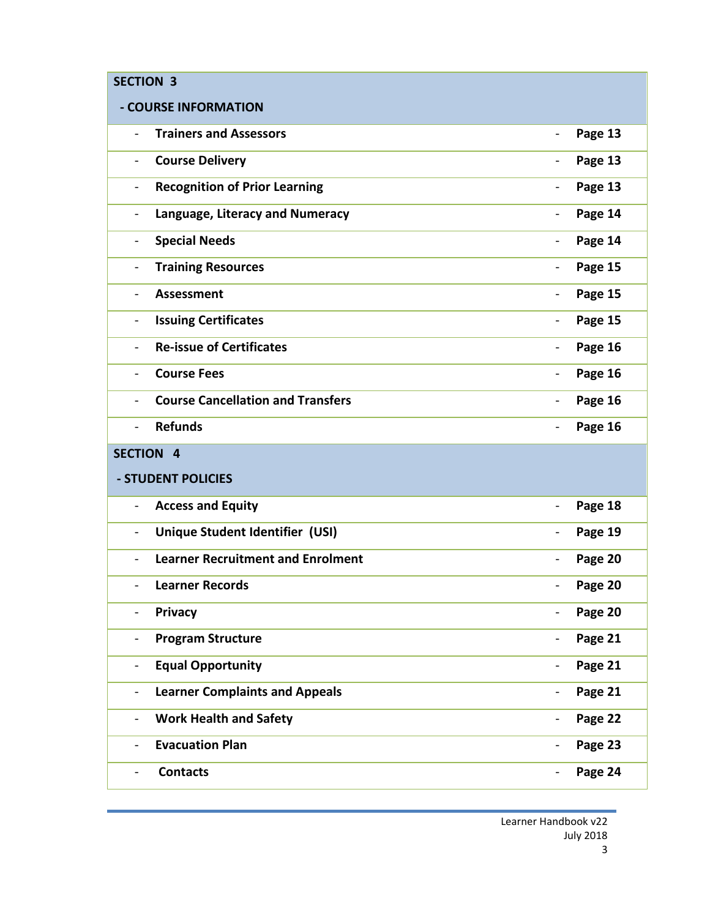| <b>SECTION 3</b>                                                     |                          |         |  |  |
|----------------------------------------------------------------------|--------------------------|---------|--|--|
| - COURSE INFORMATION                                                 |                          |         |  |  |
| <b>Trainers and Assessors</b><br>$\overline{\phantom{0}}$            | $\overline{\phantom{0}}$ | Page 13 |  |  |
| <b>Course Delivery</b><br>$\overline{\phantom{0}}$                   | $\overline{\phantom{0}}$ | Page 13 |  |  |
| <b>Recognition of Prior Learning</b><br>$\overline{\phantom{0}}$     | $\overline{\phantom{a}}$ | Page 13 |  |  |
| Language, Literacy and Numeracy<br>$\qquad \qquad -$                 | $\overline{\phantom{0}}$ | Page 14 |  |  |
| <b>Special Needs</b><br>$\overline{\phantom{0}}$                     | $\blacksquare$           | Page 14 |  |  |
| <b>Training Resources</b><br>$\overline{\phantom{0}}$                | $\overline{\phantom{a}}$ | Page 15 |  |  |
| <b>Assessment</b><br>$\overline{\phantom{0}}$                        | $\overline{\phantom{0}}$ | Page 15 |  |  |
| <b>Issuing Certificates</b><br>$\overline{\phantom{0}}$              | $\overline{\phantom{a}}$ | Page 15 |  |  |
| <b>Re-issue of Certificates</b><br>$\overline{\phantom{0}}$          | $\overline{\phantom{0}}$ | Page 16 |  |  |
| <b>Course Fees</b><br>$\blacksquare$                                 | $\overline{\phantom{0}}$ | Page 16 |  |  |
| <b>Course Cancellation and Transfers</b><br>$\overline{\phantom{0}}$ | $\blacksquare$           | Page 16 |  |  |
| <b>Refunds</b><br>$\overline{\phantom{0}}$                           | $\overline{\phantom{a}}$ | Page 16 |  |  |
| <b>SECTION 4</b>                                                     |                          |         |  |  |
| - STUDENT POLICIES                                                   |                          |         |  |  |
| <b>Access and Equity</b><br>$\overline{\phantom{0}}$                 | $\blacksquare$           | Page 18 |  |  |
| Unique Student Identifier (USI)<br>$\overline{\phantom{0}}$          | $\overline{\phantom{0}}$ | Page 19 |  |  |
| <b>Learner Recruitment and Enrolment</b><br>$\overline{\phantom{0}}$ | $\blacksquare$           | Page 20 |  |  |
| <b>Learner Records</b><br>-                                          | $\overline{\phantom{a}}$ | Page 20 |  |  |
| Privacy                                                              | $\blacksquare$           | Page 20 |  |  |
| <b>Program Structure</b><br>$\overline{\phantom{0}}$                 | $\overline{\phantom{a}}$ | Page 21 |  |  |
| <b>Equal Opportunity</b><br>$\overline{\phantom{0}}$                 | $\overline{\phantom{a}}$ | Page 21 |  |  |
| <b>Learner Complaints and Appeals</b><br>$\overline{\phantom{0}}$    | $\overline{\phantom{0}}$ | Page 21 |  |  |
| <b>Work Health and Safety</b><br>-                                   | $\blacksquare$           | Page 22 |  |  |
| <b>Evacuation Plan</b>                                               | $\overline{\phantom{a}}$ | Page 23 |  |  |
| <b>Contacts</b>                                                      | $\overline{a}$           | Page 24 |  |  |

Learner Handbook v22 July 2018 3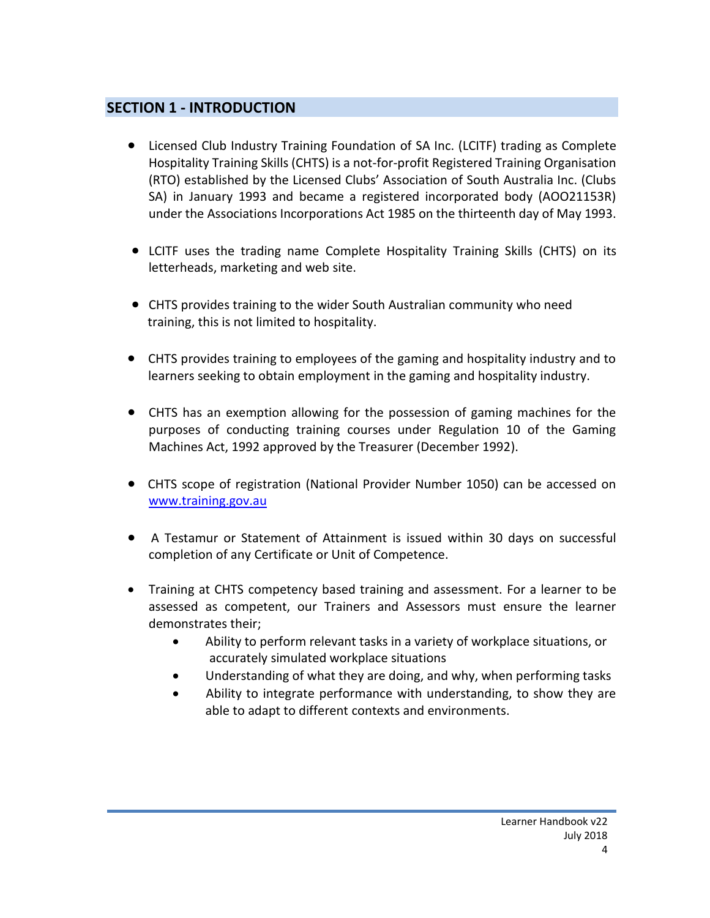# **SECTION 1 - INTRODUCTION**

- Licensed Club Industry Training Foundation of SA Inc. (LCITF) trading as Complete Hospitality Training Skills (CHTS) is a not-for-profit Registered Training Organisation (RTO) established by the Licensed Clubs' Association of South Australia Inc. (Clubs SA) in January 1993 and became a registered incorporated body (AOO21153R) under the Associations Incorporations Act 1985 on the thirteenth day of May 1993.
- LCITF uses the trading name Complete Hospitality Training Skills (CHTS) on its letterheads, marketing and web site.
- CHTS provides training to the wider South Australian community who need training, this is not limited to hospitality.
- CHTS provides training to employees of the gaming and hospitality industry and to learners seeking to obtain employment in the gaming and hospitality industry.
- CHTS has an exemption allowing for the possession of gaming machines for the purposes of conducting training courses under Regulation 10 of the Gaming Machines Act, 1992 approved by the Treasurer (December 1992).
- CHTS scope of registration (National Provider Number 1050) can be accessed on [www.training.gov.au](http://www.training.gov.au/)
- A Testamur or Statement of Attainment is issued within 30 days on successful completion of any Certificate or Unit of Competence.
- Training at CHTS competency based training and assessment. For a learner to be assessed as competent, our Trainers and Assessors must ensure the learner demonstrates their;
	- Ability to perform relevant tasks in a variety of workplace situations, or accurately simulated workplace situations
	- Understanding of what they are doing, and why, when performing tasks
	- Ability to integrate performance with understanding, to show they are able to adapt to different contexts and environments.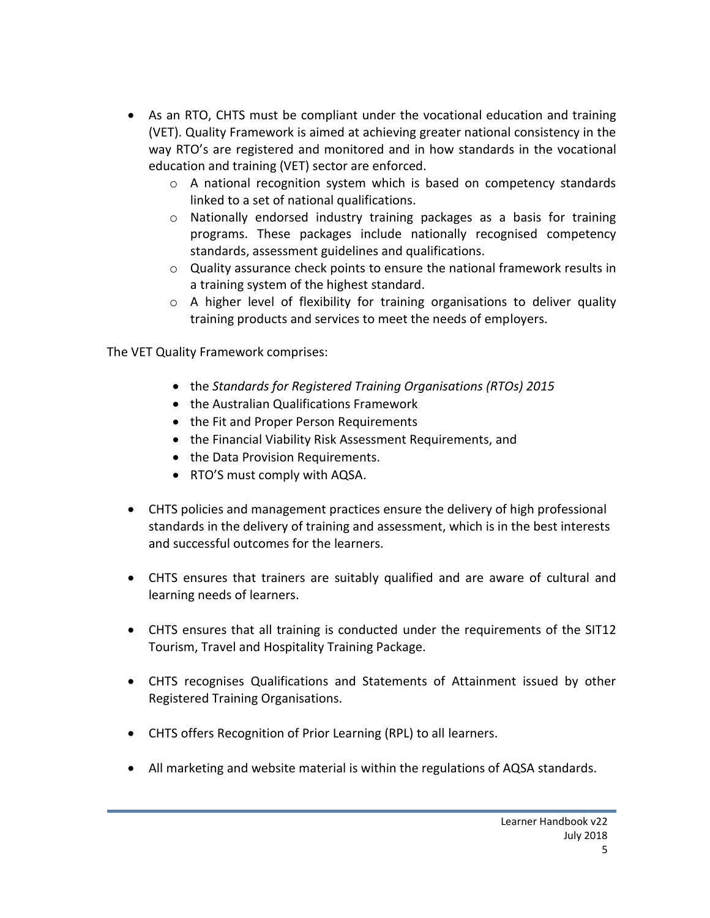- As an RTO, CHTS must be compliant under the vocational education and training (VET). Quality Framework is aimed at achieving greater national consistency in the way RTO's are registered and monitored and in how standards in the vocational education and training (VET) sector are enforced.
	- $\circ$  A national recognition system which is based on competency standards linked to a set of national qualifications.
	- $\circ$  Nationally endorsed industry training packages as a basis for training programs. These packages include nationally recognised competency standards, assessment guidelines and qualifications.
	- o Quality assurance check points to ensure the national framework results in a training system of the highest standard.
	- $\circ$  A higher level of flexibility for training organisations to deliver quality training products and services to meet the needs of employers.

The VET Quality Framework comprises:

- the *Standards for Registered Training Organisations (RTOs) 2015*
- the Australian Qualifications Framework
- the Fit and Proper Person Requirements
- the Financial Viability Risk Assessment Requirements, and
- the Data Provision Requirements.
- RTO'S must comply with AQSA.
- CHTS policies and management practices ensure the delivery of high professional standards in the delivery of training and assessment, which is in the best interests and successful outcomes for the learners.
- CHTS ensures that trainers are suitably qualified and are aware of cultural and learning needs of learners.
- CHTS ensures that all training is conducted under the requirements of the SIT12 Tourism, Travel and Hospitality Training Package.
- CHTS recognises Qualifications and Statements of Attainment issued by other Registered Training Organisations.
- CHTS offers Recognition of Prior Learning (RPL) to all learners.
- All marketing and website material is within the regulations of AQSA standards.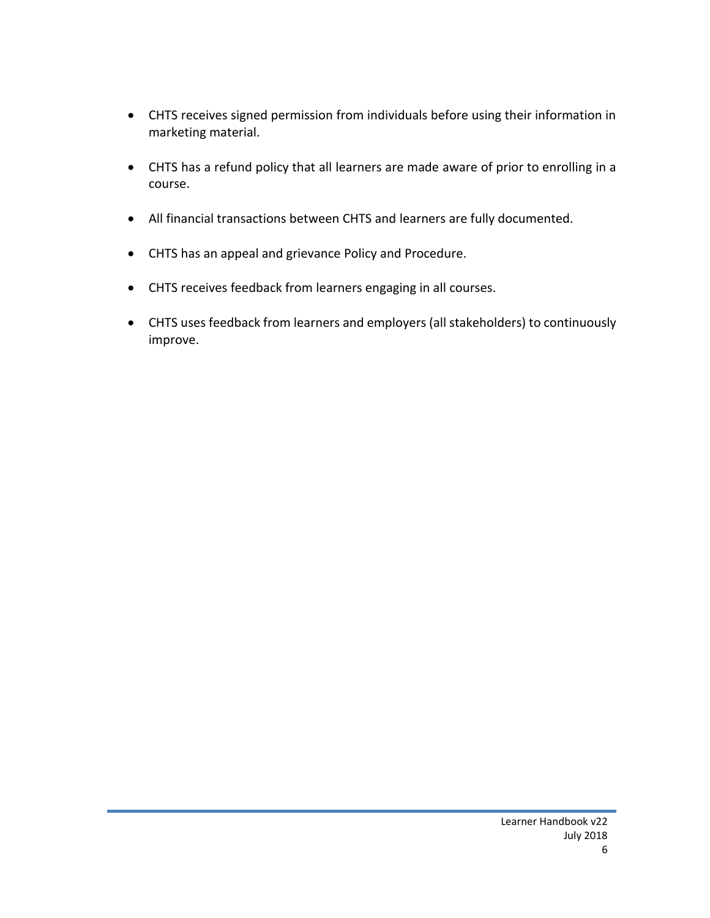- CHTS receives signed permission from individuals before using their information in marketing material.
- CHTS has a refund policy that all learners are made aware of prior to enrolling in a course.
- All financial transactions between CHTS and learners are fully documented.
- CHTS has an appeal and grievance Policy and Procedure.
- CHTS receives feedback from learners engaging in all courses.
- CHTS uses feedback from learners and employers (all stakeholders) to continuously improve.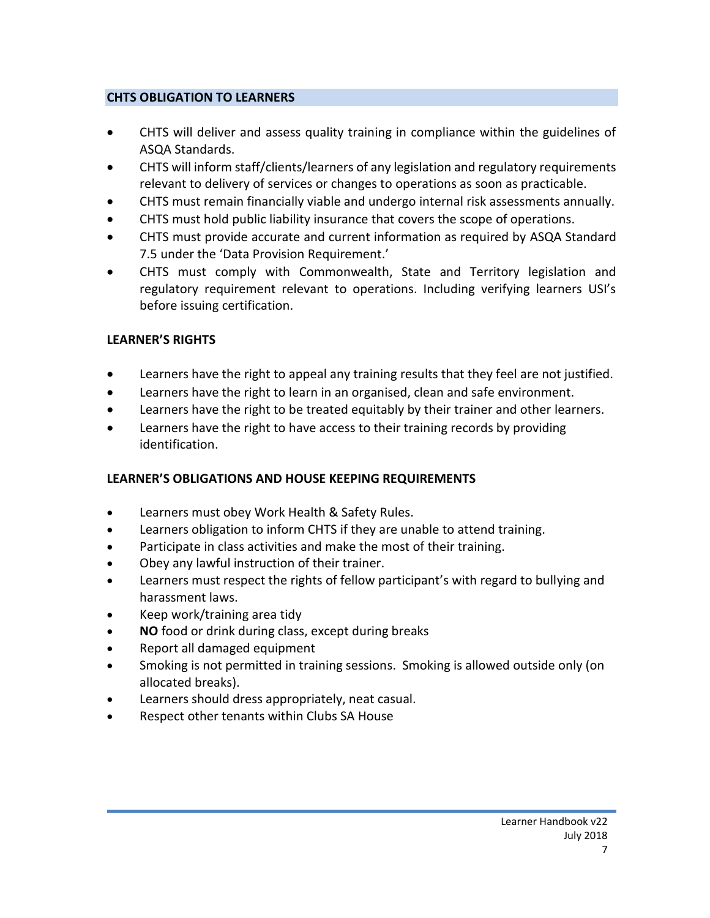#### **CHTS OBLIGATION TO LEARNERS**

- CHTS will deliver and assess quality training in compliance within the guidelines of ASQA Standards.
- CHTS will inform staff/clients/learners of any legislation and regulatory requirements relevant to delivery of services or changes to operations as soon as practicable.
- CHTS must remain financially viable and undergo internal risk assessments annually.
- CHTS must hold public liability insurance that covers the scope of operations.
- CHTS must provide accurate and current information as required by ASQA Standard 7.5 under the 'Data Provision Requirement.'
- CHTS must comply with Commonwealth, State and Territory legislation and regulatory requirement relevant to operations. Including verifying learners USI's before issuing certification.

### **LEARNER'S RIGHTS**

- Learners have the right to appeal any training results that they feel are not justified.
- Learners have the right to learn in an organised, clean and safe environment.
- Learners have the right to be treated equitably by their trainer and other learners.
- Learners have the right to have access to their training records by providing identification.

#### **LEARNER'S OBLIGATIONS AND HOUSE KEEPING REQUIREMENTS**

- Learners must obey Work Health & Safety Rules.
- Learners obligation to inform CHTS if they are unable to attend training.
- Participate in class activities and make the most of their training.
- Obey any lawful instruction of their trainer.
- Learners must respect the rights of fellow participant's with regard to bullying and harassment laws.
- Keep work/training area tidy
- **NO** food or drink during class, except during breaks
- Report all damaged equipment
- Smoking is not permitted in training sessions. Smoking is allowed outside only (on allocated breaks).
- Learners should dress appropriately, neat casual.
- Respect other tenants within Clubs SA House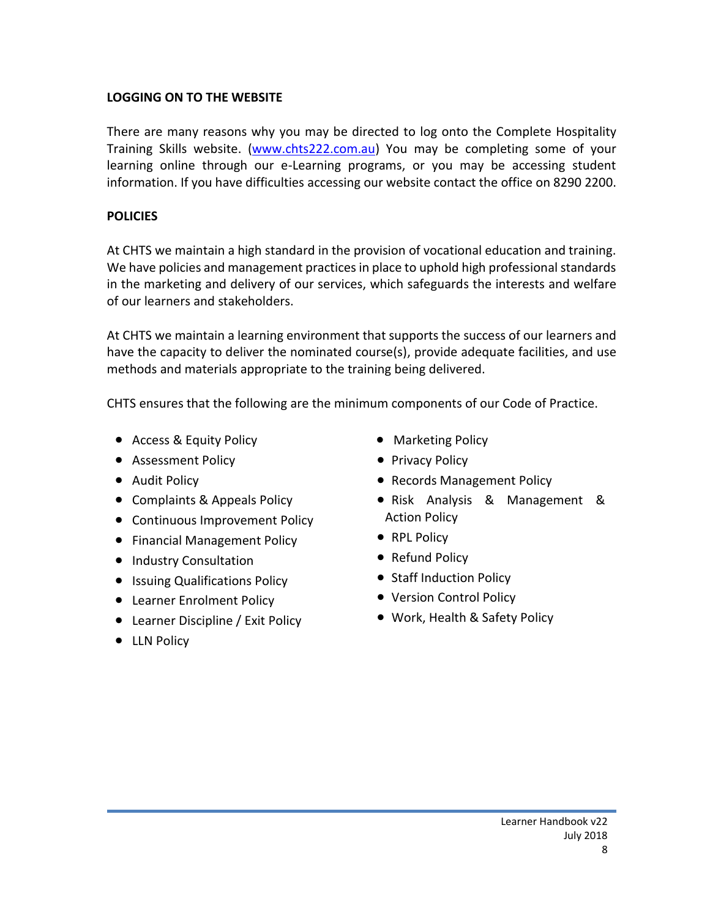#### **LOGGING ON TO THE WEBSITE**

There are many reasons why you may be directed to log onto the Complete Hospitality Training Skills website. [\(www.chts222.com.au\)](http://www.chts222.com.au/) You may be completing some of your learning online through our e-Learning programs, or you may be accessing student information. If you have difficulties accessing our website contact the office on 8290 2200.

#### **POLICIES**

At CHTS we maintain a high standard in the provision of vocational education and training. We have policies and management practices in place to uphold high professional standards in the marketing and delivery of our services, which safeguards the interests and welfare of our learners and stakeholders.

At CHTS we maintain a learning environment that supports the success of our learners and have the capacity to deliver the nominated course(s), provide adequate facilities, and use methods and materials appropriate to the training being delivered.

CHTS ensures that the following are the minimum components of our Code of Practice.

- Access & Equity Policy
- Assessment Policy
- Audit Policy
- Complaints & Appeals Policy
- Continuous Improvement Policy
- Financial Management Policy
- Industry Consultation
- Issuing Qualifications Policy
- Learner Enrolment Policy
- Learner Discipline / Exit Policy
- LLN Policy
- Marketing Policy
- Privacy Policy
- Records Management Policy
- Risk Analysis & Management & Action Policy
- RPL Policy
- Refund Policy
- Staff Induction Policy
- Version Control Policy
- Work, Health & Safety Policy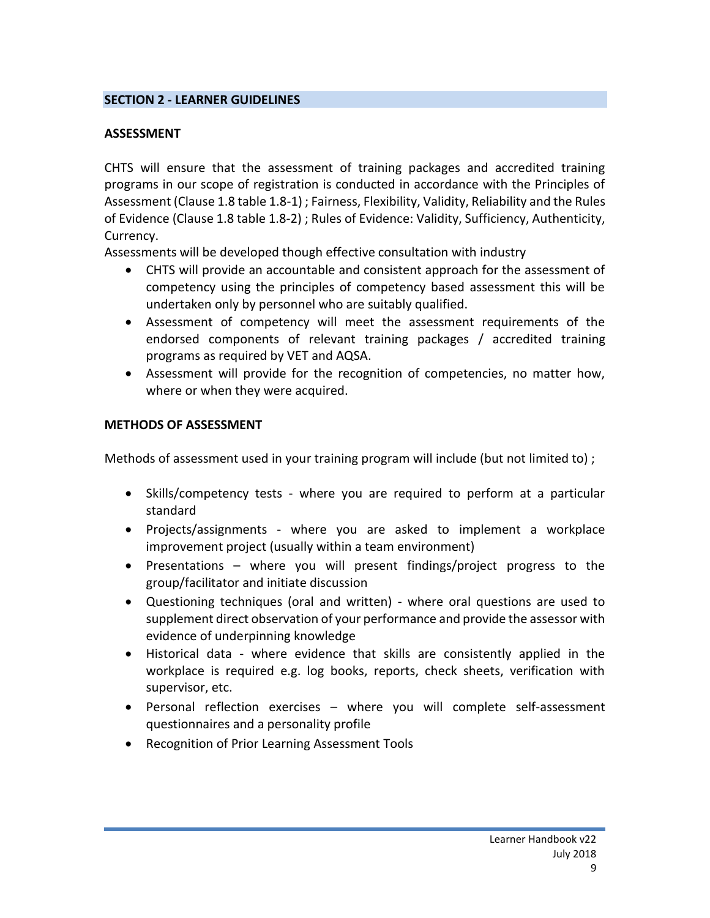#### **SECTION 2 - LEARNER GUIDELINES**

### **ASSESSMENT**

CHTS will ensure that the assessment of training packages and accredited training programs in our scope of registration is conducted in accordance with the Principles of Assessment (Clause 1.8 table 1.8-1) ; Fairness, Flexibility, Validity, Reliability and the Rules of Evidence (Clause 1.8 table 1.8-2) ; Rules of Evidence: Validity, Sufficiency, Authenticity, Currency.

Assessments will be developed though effective consultation with industry

- CHTS will provide an accountable and consistent approach for the assessment of competency using the principles of competency based assessment this will be undertaken only by personnel who are suitably qualified.
- Assessment of competency will meet the assessment requirements of the endorsed components of relevant training packages / accredited training programs as required by VET and AQSA.
- Assessment will provide for the recognition of competencies, no matter how, where or when they were acquired.

### **METHODS OF ASSESSMENT**

Methods of assessment used in your training program will include (but not limited to) ;

- Skills/competency tests where you are required to perform at a particular standard
- Projects/assignments where you are asked to implement a workplace improvement project (usually within a team environment)
- Presentations where you will present findings/project progress to the group/facilitator and initiate discussion
- Questioning techniques (oral and written) where oral questions are used to supplement direct observation of your performance and provide the assessor with evidence of underpinning knowledge
- Historical data where evidence that skills are consistently applied in the workplace is required e.g. log books, reports, check sheets, verification with supervisor, etc.
- Personal reflection exercises where you will complete self-assessment questionnaires and a personality profile
- Recognition of Prior Learning Assessment Tools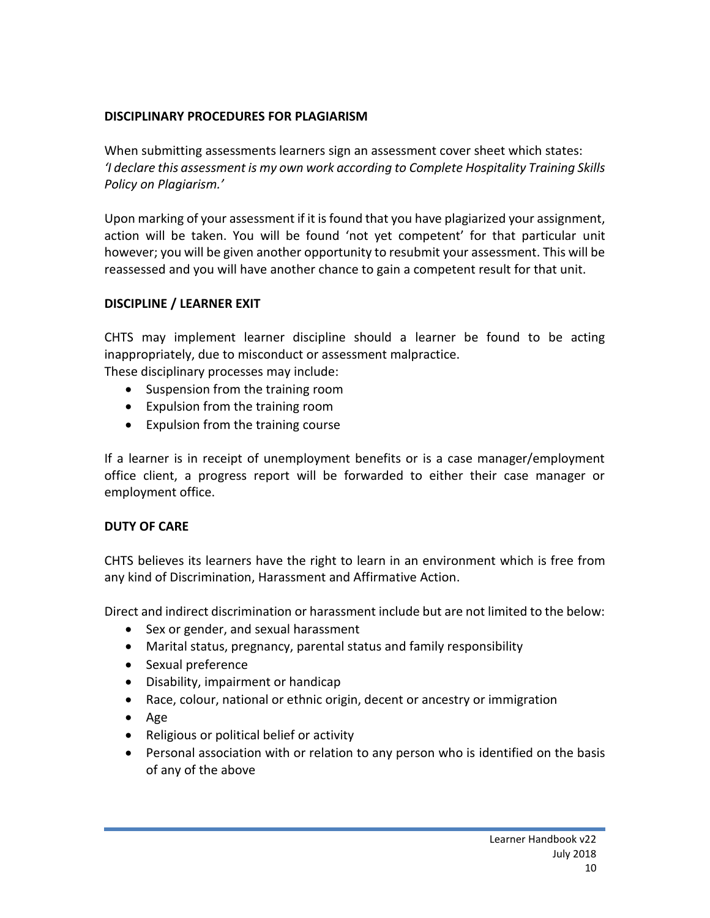#### **DISCIPLINARY PROCEDURES FOR PLAGIARISM**

When submitting assessments learners sign an assessment cover sheet which states: *'I declare this assessment is my own work according to Complete Hospitality Training Skills Policy on Plagiarism.'*

Upon marking of your assessment if it is found that you have plagiarized your assignment, action will be taken. You will be found 'not yet competent' for that particular unit however; you will be given another opportunity to resubmit your assessment. This will be reassessed and you will have another chance to gain a competent result for that unit.

# **DISCIPLINE / LEARNER EXIT**

CHTS may implement learner discipline should a learner be found to be acting inappropriately, due to misconduct or assessment malpractice. These disciplinary processes may include:

- Suspension from the training room
- Expulsion from the training room
- Expulsion from the training course

If a learner is in receipt of unemployment benefits or is a case manager/employment office client, a progress report will be forwarded to either their case manager or employment office.

# **DUTY OF CARE**

CHTS believes its learners have the right to learn in an environment which is free from any kind of Discrimination, Harassment and Affirmative Action.

Direct and indirect discrimination or harassment include but are not limited to the below:

- Sex or gender, and sexual harassment
- Marital status, pregnancy, parental status and family responsibility
- Sexual preference
- Disability, impairment or handicap
- Race, colour, national or ethnic origin, decent or ancestry or immigration
- Age
- Religious or political belief or activity
- Personal association with or relation to any person who is identified on the basis of any of the above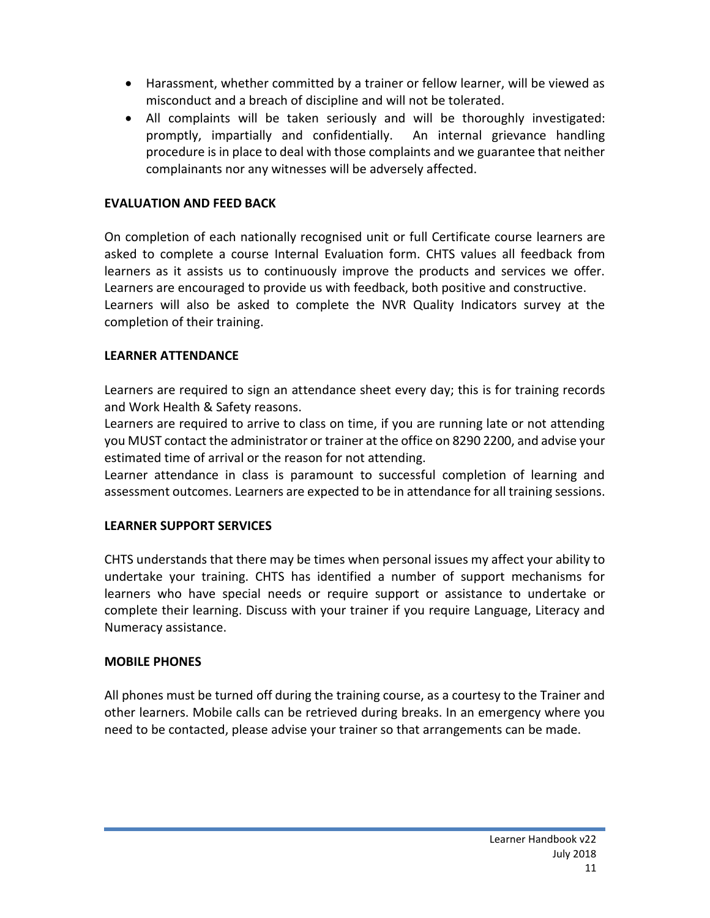- Harassment, whether committed by a trainer or fellow learner, will be viewed as misconduct and a breach of discipline and will not be tolerated.
- All complaints will be taken seriously and will be thoroughly investigated: promptly, impartially and confidentially. An internal grievance handling procedure is in place to deal with those complaints and we guarantee that neither complainants nor any witnesses will be adversely affected.

### **EVALUATION AND FEED BACK**

On completion of each nationally recognised unit or full Certificate course learners are asked to complete a course Internal Evaluation form. CHTS values all feedback from learners as it assists us to continuously improve the products and services we offer. Learners are encouraged to provide us with feedback, both positive and constructive. Learners will also be asked to complete the NVR Quality Indicators survey at the completion of their training.

#### **LEARNER ATTENDANCE**

Learners are required to sign an attendance sheet every day; this is for training records and Work Health & Safety reasons.

Learners are required to arrive to class on time, if you are running late or not attending you MUST contact the administrator or trainer at the office on 8290 2200, and advise your estimated time of arrival or the reason for not attending.

Learner attendance in class is paramount to successful completion of learning and assessment outcomes. Learners are expected to be in attendance for all training sessions.

# **LEARNER SUPPORT SERVICES**

CHTS understands that there may be times when personal issues my affect your ability to undertake your training. CHTS has identified a number of support mechanisms for learners who have special needs or require support or assistance to undertake or complete their learning. Discuss with your trainer if you require Language, Literacy and Numeracy assistance.

#### **MOBILE PHONES**

All phones must be turned off during the training course, as a courtesy to the Trainer and other learners. Mobile calls can be retrieved during breaks. In an emergency where you need to be contacted, please advise your trainer so that arrangements can be made.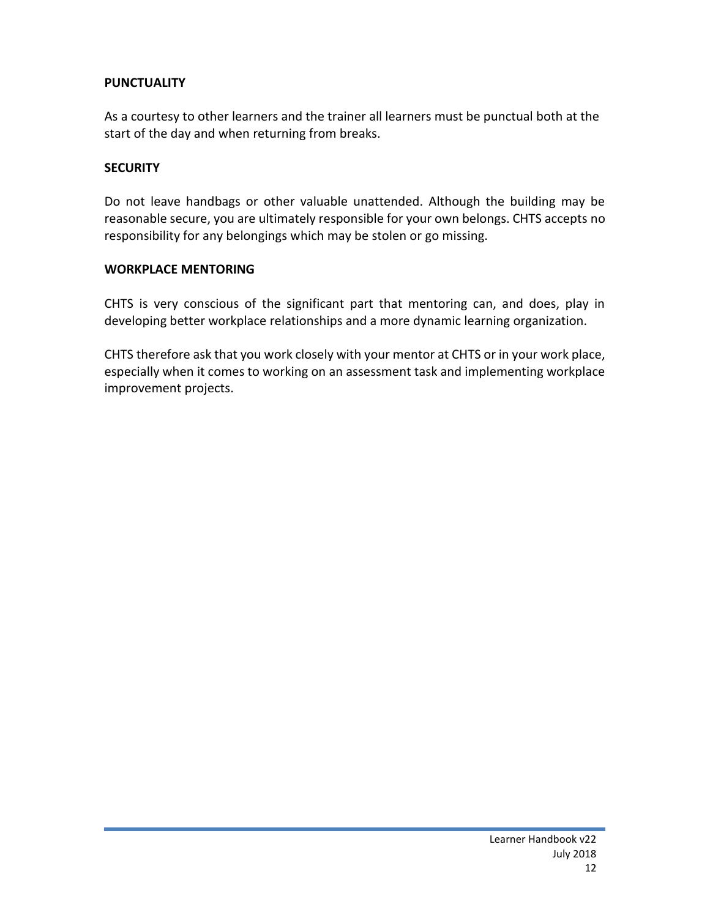#### **PUNCTUALITY**

As a courtesy to other learners and the trainer all learners must be punctual both at the start of the day and when returning from breaks.

#### **SECURITY**

Do not leave handbags or other valuable unattended. Although the building may be reasonable secure, you are ultimately responsible for your own belongs. CHTS accepts no responsibility for any belongings which may be stolen or go missing.

#### **WORKPLACE MENTORING**

CHTS is very conscious of the significant part that mentoring can, and does, play in developing better workplace relationships and a more dynamic learning organization.

CHTS therefore ask that you work closely with your mentor at CHTS or in your work place, especially when it comes to working on an assessment task and implementing workplace improvement projects.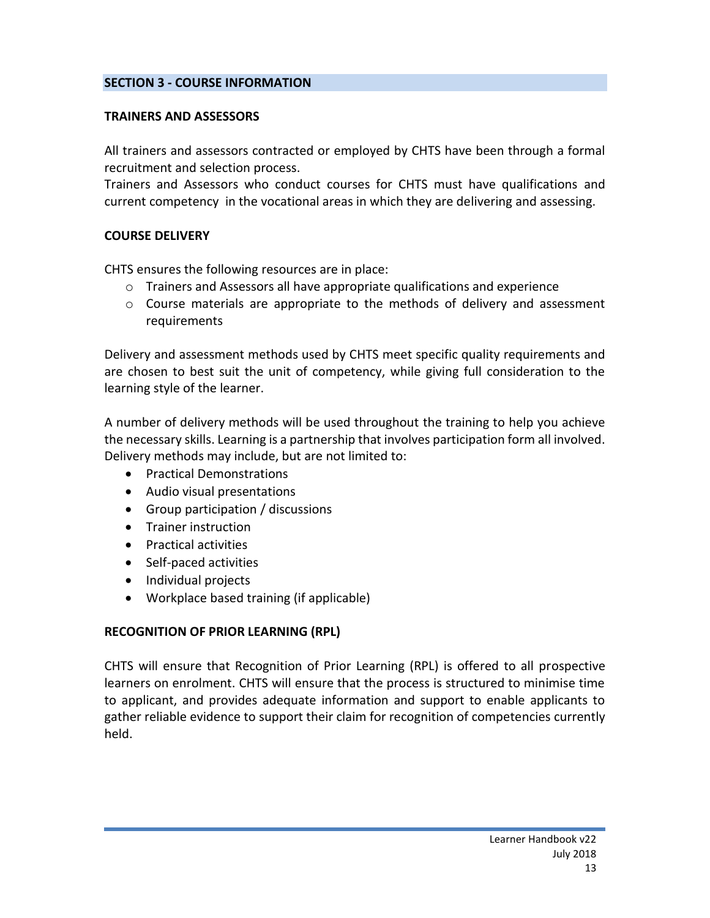#### **SECTION 3 - COURSE INFORMATION**

#### **TRAINERS AND ASSESSORS**

All trainers and assessors contracted or employed by CHTS have been through a formal recruitment and selection process.

Trainers and Assessors who conduct courses for CHTS must have qualifications and current competency in the vocational areas in which they are delivering and assessing.

#### **COURSE DELIVERY**

CHTS ensures the following resources are in place:

- o Trainers and Assessors all have appropriate qualifications and experience
- $\circ$  Course materials are appropriate to the methods of delivery and assessment requirements

Delivery and assessment methods used by CHTS meet specific quality requirements and are chosen to best suit the unit of competency, while giving full consideration to the learning style of the learner.

A number of delivery methods will be used throughout the training to help you achieve the necessary skills. Learning is a partnership that involves participation form all involved. Delivery methods may include, but are not limited to:

- Practical Demonstrations
- Audio visual presentations
- Group participation / discussions
- Trainer instruction
- **•** Practical activities
- Self-paced activities
- Individual projects
- Workplace based training (if applicable)

#### **RECOGNITION OF PRIOR LEARNING (RPL)**

CHTS will ensure that Recognition of Prior Learning (RPL) is offered to all prospective learners on enrolment. CHTS will ensure that the process is structured to minimise time to applicant, and provides adequate information and support to enable applicants to gather reliable evidence to support their claim for recognition of competencies currently held.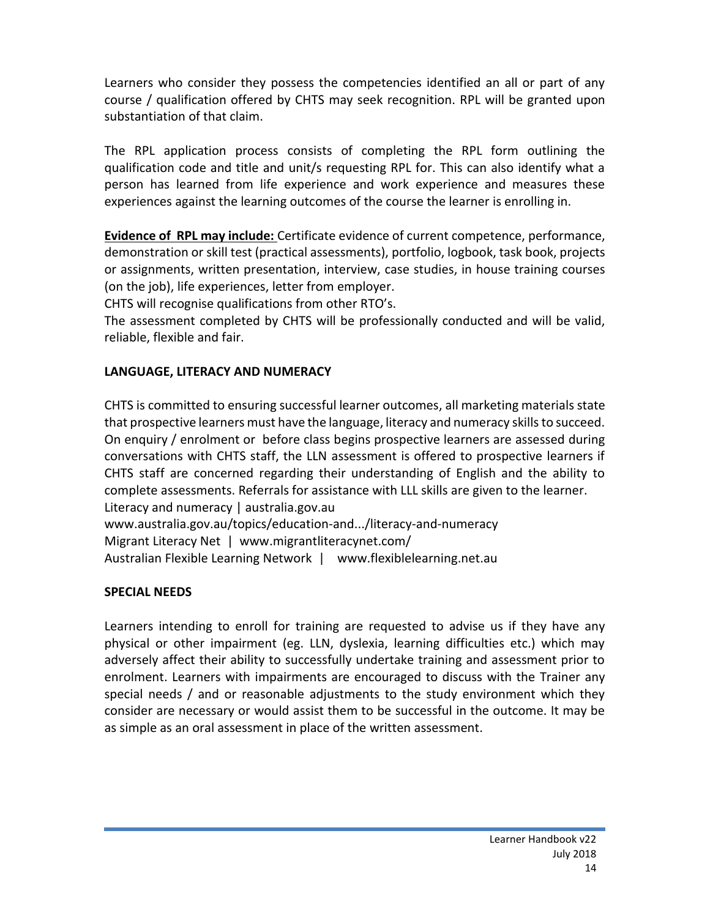Learners who consider they possess the competencies identified an all or part of any course / qualification offered by CHTS may seek recognition. RPL will be granted upon substantiation of that claim.

The RPL application process consists of completing the RPL form outlining the qualification code and title and unit/s requesting RPL for. This can also identify what a person has learned from life experience and work experience and measures these experiences against the learning outcomes of the course the learner is enrolling in.

**Evidence of RPL may include:** Certificate evidence of current competence, performance, demonstration or skill test (practical assessments), portfolio, logbook, task book, projects or assignments, written presentation, interview, case studies, in house training courses (on the job), life experiences, letter from employer.

CHTS will recognise qualifications from other RTO's.

The assessment completed by CHTS will be professionally conducted and will be valid, reliable, flexible and fair.

# **LANGUAGE, LITERACY AND NUMERACY**

CHTS is committed to ensuring successful learner outcomes, all marketing materials state that prospective learners must have the language, literacy and numeracy skills to succeed. On enquiry / enrolment or before class begins prospective learners are assessed during conversations with CHTS staff, the LLN assessment is offered to prospective learners if CHTS staff are concerned regarding their understanding of English and the ability to complete assessments. Referrals for assistance with LLL skills are given to the learner. [Literacy and numeracy | australia.gov.au](http://www.australia.gov.au/topics/education-and-training/literacy-and-numeracy) www.australia.gov.au/topics/education-and.../literacy-and-numeracy [Migrant Literacy Net](https://www.migrantliteracynet.com/) | www.migrantliteracynet.com/ Australian Flexible Learning Network | www.flexiblelearning.net.au

#### **SPECIAL NEEDS**

Learners intending to enroll for training are requested to advise us if they have any physical or other impairment (eg. LLN, dyslexia, learning difficulties etc.) which may adversely affect their ability to successfully undertake training and assessment prior to enrolment. Learners with impairments are encouraged to discuss with the Trainer any special needs / and or reasonable adjustments to the study environment which they consider are necessary or would assist them to be successful in the outcome. It may be as simple as an oral assessment in place of the written assessment.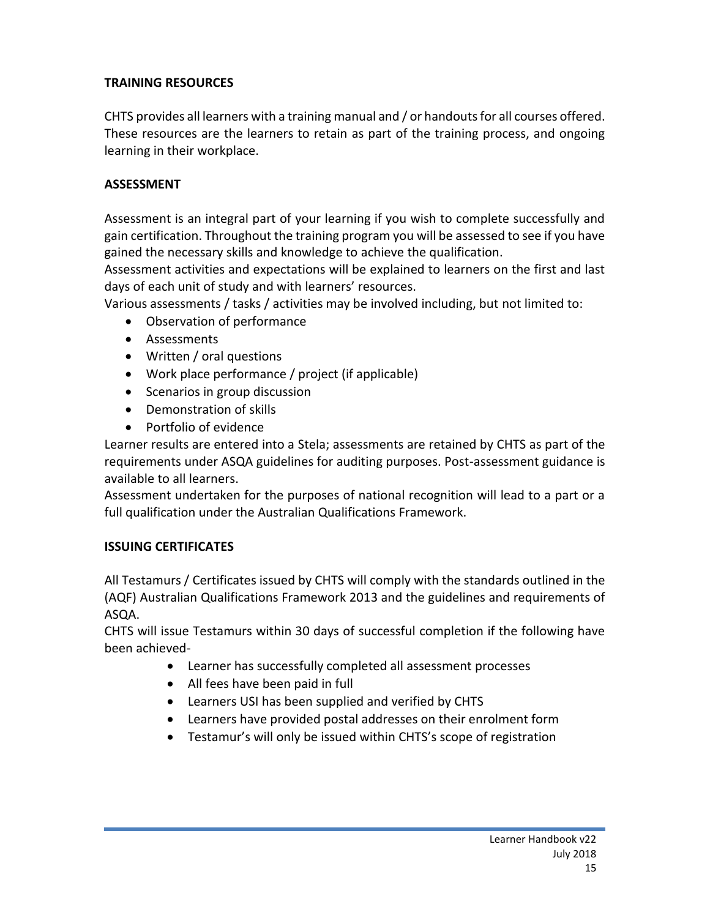# **TRAINING RESOURCES**

CHTS provides all learners with a training manual and / or handouts for all courses offered. These resources are the learners to retain as part of the training process, and ongoing learning in their workplace.

# **ASSESSMENT**

Assessment is an integral part of your learning if you wish to complete successfully and gain certification. Throughout the training program you will be assessed to see if you have gained the necessary skills and knowledge to achieve the qualification.

Assessment activities and expectations will be explained to learners on the first and last days of each unit of study and with learners' resources.

Various assessments / tasks / activities may be involved including, but not limited to:

- Observation of performance
- Assessments
- Written / oral questions
- Work place performance / project (if applicable)
- Scenarios in group discussion
- Demonstration of skills
- Portfolio of evidence

Learner results are entered into a Stela; assessments are retained by CHTS as part of the requirements under ASQA guidelines for auditing purposes. Post-assessment guidance is available to all learners.

Assessment undertaken for the purposes of national recognition will lead to a part or a full qualification under the Australian Qualifications Framework.

# **ISSUING CERTIFICATES**

All Testamurs / Certificates issued by CHTS will comply with the standards outlined in the (AQF) Australian Qualifications Framework 2013 and the guidelines and requirements of ASQA.

CHTS will issue Testamurs within 30 days of successful completion if the following have been achieved-

- Learner has successfully completed all assessment processes
- All fees have been paid in full
- Learners USI has been supplied and verified by CHTS
- Learners have provided postal addresses on their enrolment form
- Testamur's will only be issued within CHTS's scope of registration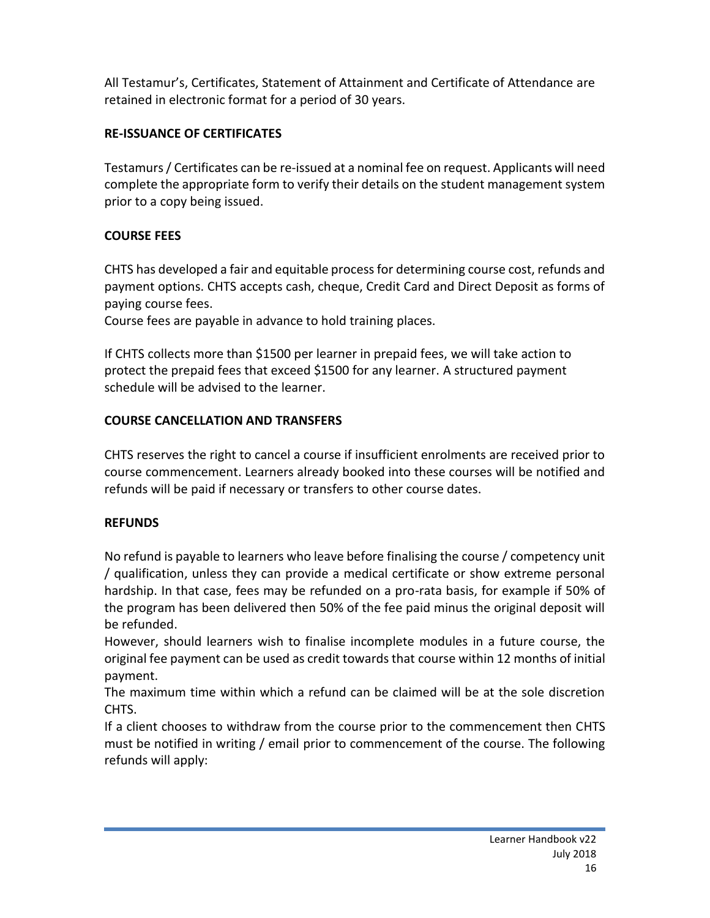All Testamur's, Certificates, Statement of Attainment and Certificate of Attendance are retained in electronic format for a period of 30 years.

# **RE-ISSUANCE OF CERTIFICATES**

Testamurs / Certificates can be re-issued at a nominal fee on request. Applicants will need complete the appropriate form to verify their details on the student management system prior to a copy being issued.

# **COURSE FEES**

CHTS has developed a fair and equitable process for determining course cost, refunds and payment options. CHTS accepts cash, cheque, Credit Card and Direct Deposit as forms of paying course fees.

Course fees are payable in advance to hold training places.

If CHTS collects more than \$1500 per learner in prepaid fees, we will take action to protect the prepaid fees that exceed \$1500 for any learner. A structured payment schedule will be advised to the learner.

# **COURSE CANCELLATION AND TRANSFERS**

CHTS reserves the right to cancel a course if insufficient enrolments are received prior to course commencement. Learners already booked into these courses will be notified and refunds will be paid if necessary or transfers to other course dates.

# **REFUNDS**

No refund is payable to learners who leave before finalising the course / competency unit / qualification, unless they can provide a medical certificate or show extreme personal hardship. In that case, fees may be refunded on a pro-rata basis, for example if 50% of the program has been delivered then 50% of the fee paid minus the original deposit will be refunded.

However, should learners wish to finalise incomplete modules in a future course, the original fee payment can be used as credit towards that course within 12 months of initial payment.

The maximum time within which a refund can be claimed will be at the sole discretion CHTS.

If a client chooses to withdraw from the course prior to the commencement then CHTS must be notified in writing / email prior to commencement of the course. The following refunds will apply: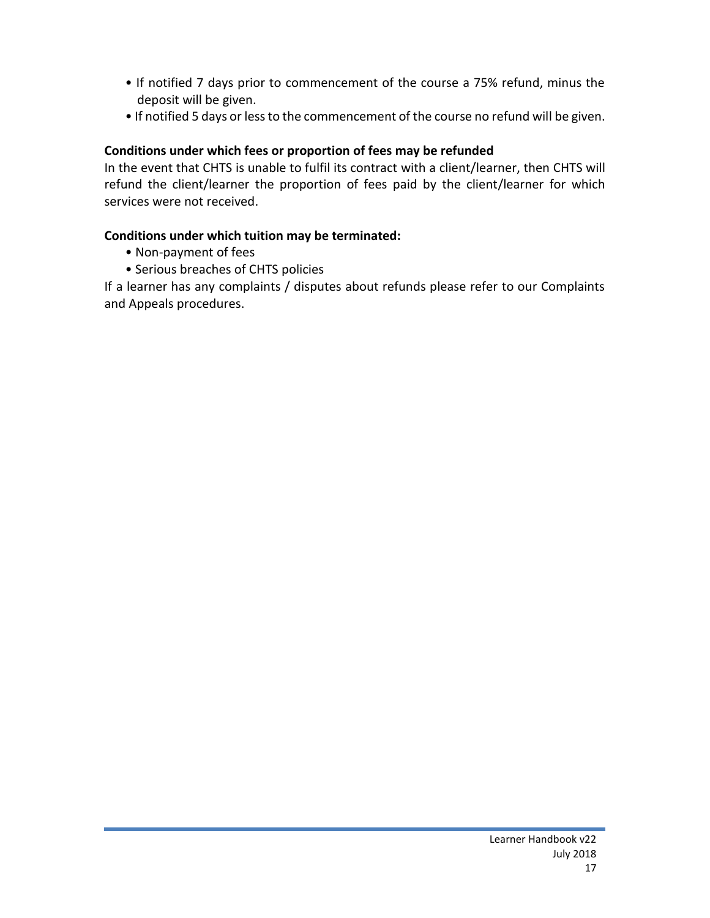- If notified 7 days prior to commencement of the course a 75% refund, minus the deposit will be given.
- If notified 5 days or less to the commencement of the course no refund will be given.

# **Conditions under which fees or proportion of fees may be refunded**

In the event that CHTS is unable to fulfil its contract with a client/learner, then CHTS will refund the client/learner the proportion of fees paid by the client/learner for which services were not received.

# **Conditions under which tuition may be terminated:**

- Non-payment of fees
- Serious breaches of CHTS policies

If a learner has any complaints / disputes about refunds please refer to our Complaints and Appeals procedures.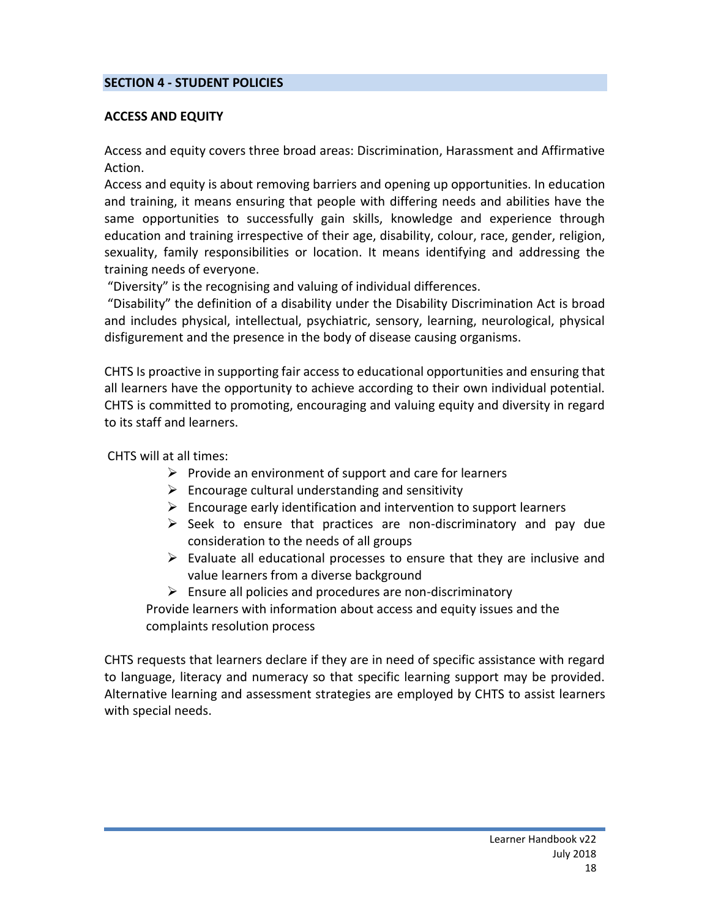#### **SECTION 4 - STUDENT POLICIES**

#### **ACCESS AND EQUITY**

Access and equity covers three broad areas: Discrimination, Harassment and Affirmative Action.

Access and equity is about removing barriers and opening up opportunities. In education and training, it means ensuring that people with differing needs and abilities have the same opportunities to successfully gain skills, knowledge and experience through education and training irrespective of their age, disability, colour, race, gender, religion, sexuality, family responsibilities or location. It means identifying and addressing the training needs of everyone.

"Diversity" is the recognising and valuing of individual differences.

"Disability" the definition of a disability under the Disability Discrimination Act is broad and includes physical, intellectual, psychiatric, sensory, learning, neurological, physical disfigurement and the presence in the body of disease causing organisms.

CHTS Is proactive in supporting fair access to educational opportunities and ensuring that all learners have the opportunity to achieve according to their own individual potential. CHTS is committed to promoting, encouraging and valuing equity and diversity in regard to its staff and learners.

CHTS will at all times:

- $\triangleright$  Provide an environment of support and care for learners
- $\triangleright$  Encourage cultural understanding and sensitivity
- $\triangleright$  Encourage early identification and intervention to support learners
- $\triangleright$  Seek to ensure that practices are non-discriminatory and pay due consideration to the needs of all groups
- $\triangleright$  Evaluate all educational processes to ensure that they are inclusive and value learners from a diverse background
- $\triangleright$  Ensure all policies and procedures are non-discriminatory

Provide learners with information about access and equity issues and the complaints resolution process

CHTS requests that learners declare if they are in need of specific assistance with regard to language, literacy and numeracy so that specific learning support may be provided. Alternative learning and assessment strategies are employed by CHTS to assist learners with special needs.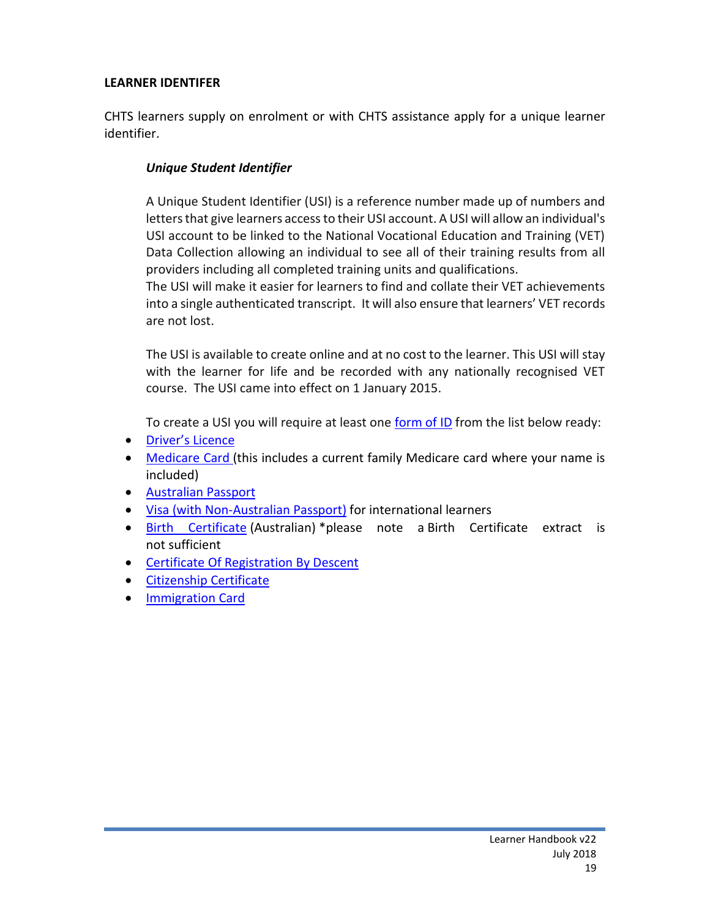#### **LEARNER IDENTIFER**

CHTS learners supply on enrolment or with CHTS assistance apply for a unique learner identifier.

### *Unique Student Identifier*

A Unique Student Identifier (USI) is a reference number made up of numbers and letters that give learners access to their USI account. A USI will allow an individual's USI account to be linked to the National Vocational Education and Training (VET) Data Collection allowing an individual to see all of their training results from all providers including all completed training units and qualifications.

The USI will make it easier for learners to find and collate their VET achievements into a single authenticated transcript. It will also ensure that learners' VET records are not lost.

The USI is available to create online and at no cost to the learner. This USI will stay with the learner for life and be recorded with any nationally recognised VET course. The USI came into effect on 1 January 2015.

To create a USI you will require at least one [form](http://usi.gov.au/help-centre/proof-of-ID/Pages/proof-of-ID.aspx) of ID from the list below ready:

- **•** [Driver's](http://usi.gov.au/help-centre/proof-of-ID/Pages/drivers-licence.aspx) Licence
- [Medicare](http://usi.gov.au/help-centre/proof-of-ID/Pages/medicare_card.aspx) Card (this includes a current family Medicare card where your name is included)
- [Australian](http://usi.gov.au/help-centre/proof-of-ID/Pages/australian_passport.aspx) Passport
- Visa (with [Non-Australian](http://usi.gov.au/help-centre/proof-of-ID/Pages/visa.aspx) Passport) for international learners
- Birth [Certificate](http://usi.gov.au/help-centre/proof-of-ID/Pages/birth_certificate_(australian).aspx) (Australian) \*please note a Birth Certificate extract is not sufficient
- **•** Certificate Of [Registration](http://usi.gov.au/help-centre/proof-of-ID/Pages/certificate-of-registration-by-descent.aspx) By Descent
- **•** [Citizenship](http://usi.gov.au/help-centre/proof-of-ID/citizenship/Pages/default.aspx) Certificate
- **•** [Immigration](http://usi.gov.au/help-centre/proof-of-ID/Pages/immicard.aspx) Card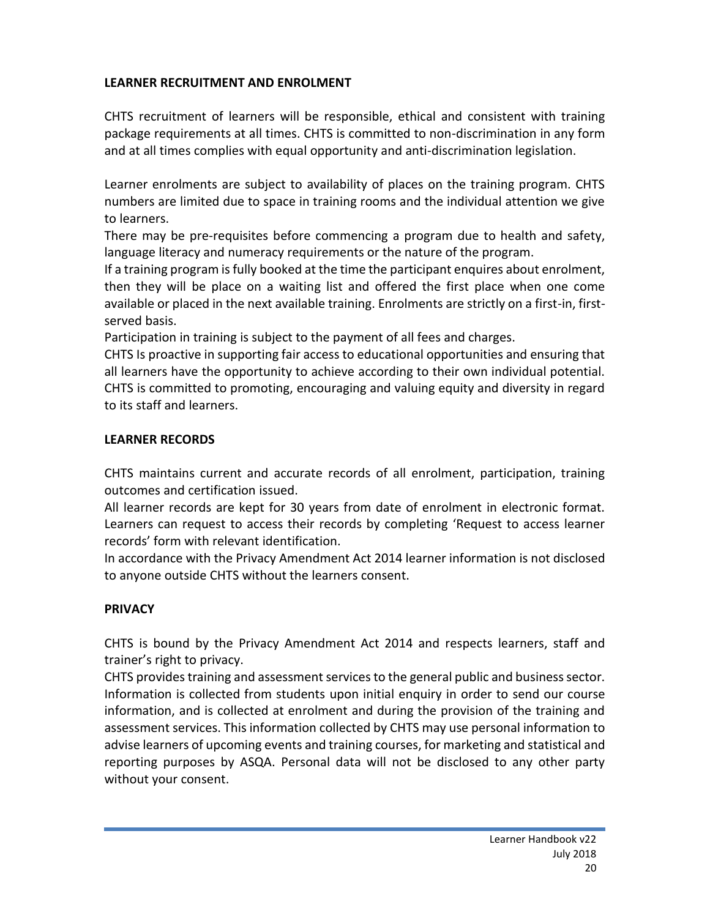# **LEARNER RECRUITMENT AND ENROLMENT**

CHTS recruitment of learners will be responsible, ethical and consistent with training package requirements at all times. CHTS is committed to non-discrimination in any form and at all times complies with equal opportunity and anti-discrimination legislation.

Learner enrolments are subject to availability of places on the training program. CHTS numbers are limited due to space in training rooms and the individual attention we give to learners.

There may be pre-requisites before commencing a program due to health and safety, language literacy and numeracy requirements or the nature of the program.

If a training program is fully booked at the time the participant enquires about enrolment, then they will be place on a waiting list and offered the first place when one come available or placed in the next available training. Enrolments are strictly on a first-in, firstserved basis.

Participation in training is subject to the payment of all fees and charges.

CHTS Is proactive in supporting fair access to educational opportunities and ensuring that all learners have the opportunity to achieve according to their own individual potential. CHTS is committed to promoting, encouraging and valuing equity and diversity in regard to its staff and learners.

# **LEARNER RECORDS**

CHTS maintains current and accurate records of all enrolment, participation, training outcomes and certification issued.

All learner records are kept for 30 years from date of enrolment in electronic format. Learners can request to access their records by completing 'Request to access learner records' form with relevant identification.

In accordance with the Privacy Amendment Act 2014 learner information is not disclosed to anyone outside CHTS without the learners consent.

# **PRIVACY**

CHTS is bound by the Privacy Amendment Act 2014 and respects learners, staff and trainer's right to privacy.

CHTS provides training and assessment services to the general public and business sector. Information is collected from students upon initial enquiry in order to send our course information, and is collected at enrolment and during the provision of the training and assessment services. This information collected by CHTS may use personal information to advise learners of upcoming events and training courses, for marketing and statistical and reporting purposes by ASQA. Personal data will not be disclosed to any other party without your consent.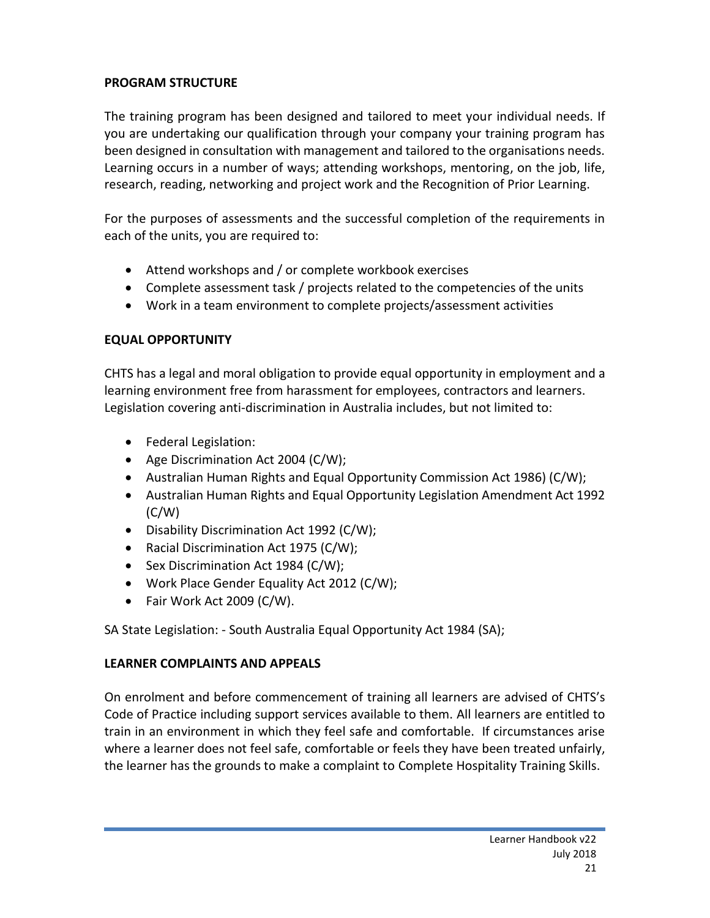## **PROGRAM STRUCTURE**

The training program has been designed and tailored to meet your individual needs. If you are undertaking our qualification through your company your training program has been designed in consultation with management and tailored to the organisations needs. Learning occurs in a number of ways; attending workshops, mentoring, on the job, life, research, reading, networking and project work and the Recognition of Prior Learning.

For the purposes of assessments and the successful completion of the requirements in each of the units, you are required to:

- Attend workshops and / or complete workbook exercises
- Complete assessment task / projects related to the competencies of the units
- Work in a team environment to complete projects/assessment activities

### **EQUAL OPPORTUNITY**

CHTS has a legal and moral obligation to provide equal opportunity in employment and a learning environment free from harassment for employees, contractors and learners. Legislation covering anti-discrimination in Australia includes, but not limited to:

- Federal Legislation:
- Age Discrimination Act 2004 (C/W);
- Australian Human Rights and Equal Opportunity Commission Act 1986) (C/W);
- Australian Human Rights and Equal Opportunity Legislation Amendment Act 1992  $(C/W)$
- Disability Discrimination Act 1992 (C/W);
- Racial Discrimination Act 1975 (C/W);
- Sex Discrimination Act 1984 (C/W);
- Work Place Gender Equality Act 2012 (C/W);
- Fair Work Act 2009 (C/W).

SA State Legislation: - South Australia Equal Opportunity Act 1984 (SA);

#### **LEARNER COMPLAINTS AND APPEALS**

On enrolment and before commencement of training all learners are advised of CHTS's Code of Practice including support services available to them. All learners are entitled to train in an environment in which they feel safe and comfortable. If circumstances arise where a learner does not feel safe, comfortable or feels they have been treated unfairly, the learner has the grounds to make a complaint to Complete Hospitality Training Skills.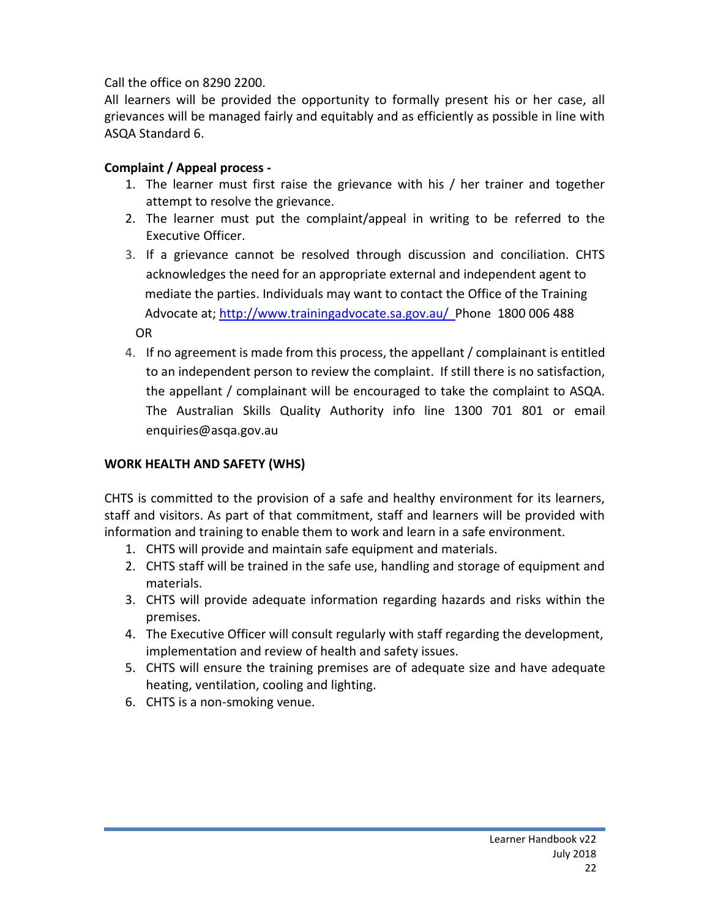Call the office on 8290 2200.

All learners will be provided the opportunity to formally present his or her case, all grievances will be managed fairly and equitably and as efficiently as possible in line with ASQA Standard 6.

# **Complaint / Appeal process -**

- 1. The learner must first raise the grievance with his / her trainer and together attempt to resolve the grievance.
- 2. The learner must put the complaint/appeal in writing to be referred to the Executive Officer.
- 3. If a grievance cannot be resolved through discussion and conciliation. CHTS acknowledges the need for an appropriate external and independent agent to mediate the parties. Individuals may want to contact the Office of the Training Advocate at;<http://www.trainingadvocate.sa.gov.au/>Phone 1800 006 488 OR
- 4. If no agreement is made from this process, the appellant / complainant is entitled to an independent person to review the complaint. If still there is no satisfaction, the appellant / complainant will be encouraged to take the complaint to ASQA. The Australian Skills Quality Authority info line 1300 701 801 or email enquiries@asqa.gov.au

# **WORK HEALTH AND SAFETY (WHS)**

CHTS is committed to the provision of a safe and healthy environment for its learners, staff and visitors. As part of that commitment, staff and learners will be provided with information and training to enable them to work and learn in a safe environment.

- 1. CHTS will provide and maintain safe equipment and materials.
- 2. CHTS staff will be trained in the safe use, handling and storage of equipment and materials.
- 3. CHTS will provide adequate information regarding hazards and risks within the premises.
- 4. The Executive Officer will consult regularly with staff regarding the development, implementation and review of health and safety issues.
- 5. CHTS will ensure the training premises are of adequate size and have adequate heating, ventilation, cooling and lighting.
- 6. CHTS is a non-smoking venue.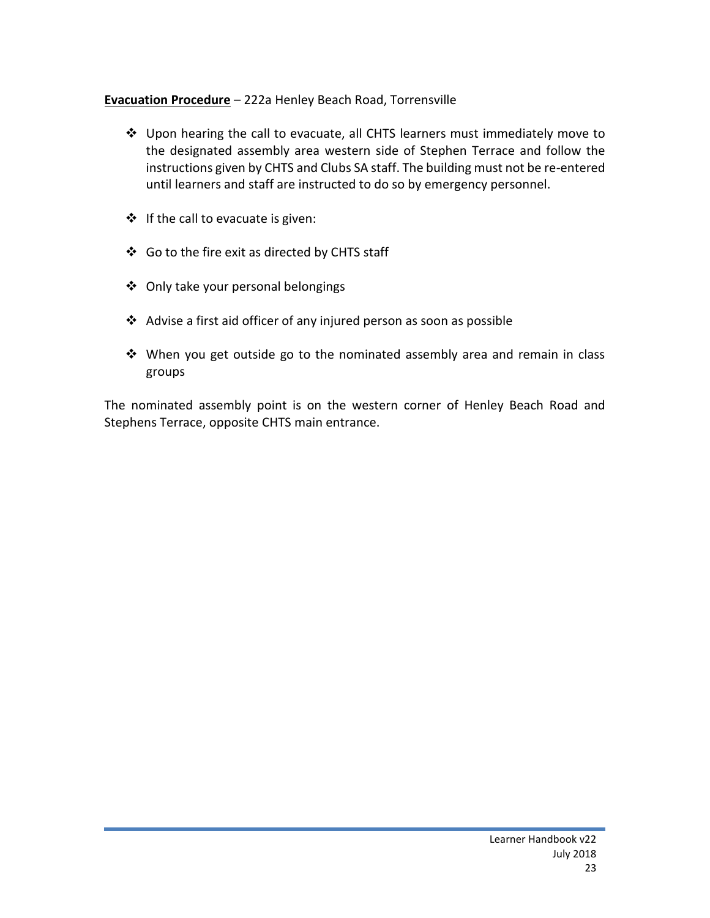### **Evacuation Procedure** – 222a Henley Beach Road, Torrensville

- Upon hearing the call to evacuate, all CHTS learners must immediately move to the designated assembly area western side of Stephen Terrace and follow the instructions given by CHTS and Clubs SA staff. The building must not be re-entered until learners and staff are instructed to do so by emergency personnel.
- $\cdot \cdot$  If the call to evacuate is given:
- ❖ Go to the fire exit as directed by CHTS staff
- ◆ Only take your personal belongings
- $\triangleleft$  Advise a first aid officer of any injured person as soon as possible
- When you get outside go to the nominated assembly area and remain in class groups

The nominated assembly point is on the western corner of Henley Beach Road and Stephens Terrace, opposite CHTS main entrance.